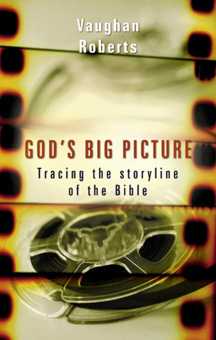# **Vaughan Roberts**

# **GOD'S BIG PICTURE Tracing the storyline** of the Bible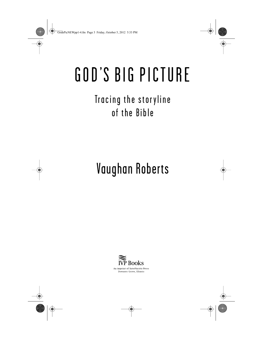# GOD'S BIG PICTURE

Tracing the stor yline of the Bible

# Vaughan Roberts

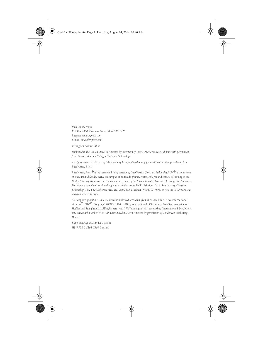*InterVarsity Press P.O. Box 1400, Downers Grove, IL 60515-1426 Internet: www.ivpress.com E-mail: email@ivpress.com*

*©Vaughan Roberts 2002*

*Published in the United States of America by InterVarsity Press, Downers Grove, Illinois, with permission from Universities and Colleges Christian Fellowship.*

*All rights reserved. No part of this book may be reproduced in any form without written permission from InterVarsity Press.*

*InterVarsity Press*® *is the book-publishing division of InterVarsity Christian Fellowship/USA®, a movement of students and faculty active on campus at hundreds of universities, colleges and schools of nursing in the United States of America, and a member movement of the International Fellowship of Evangelical Students. For information about local and regional activities, write Public Relations Dept., InterVarsity Christian Fellowship/USA, 6400 Schroeder Rd., P.O. Box 7895, Madison, WI 53707-7895, or visit the IVCF website at <www.intervarsity.org>.* 

*All Scripture quotations, unless otherwise indicated, are taken from the* Holy Bible, New International Version®. NIV®. *Copyright ©1973, 1978, 1984 by International Bible Society. Used by permission of Hodder and Stoughton Ltd. All rights reserved. "NIV" is a registered trademark of International Bible Society. UK trademark number 1448790. Distributed in North America by permission of Zondervan Publishing House.* 

*ISBN 978-0-8308-6389-1 (digital) ISBN 978-0-8308-5364-9 (print)*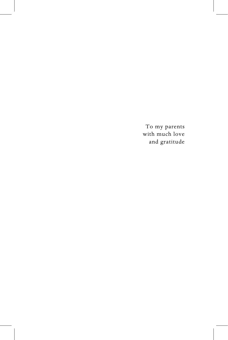To my parents with much love and gratitude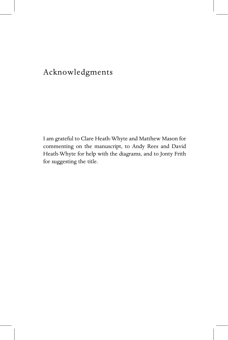## Acknowledgments

I am grateful to Clare Heath-Whyte and Matthew Mason for commenting on the manuscript, to Andy Rees and David Heath-Whyte for help with the diagrams, and to Jonty Frith for suggesting the title.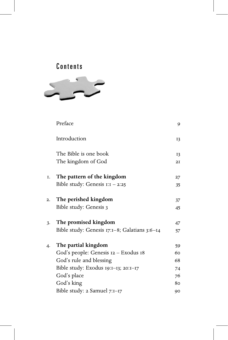## **Contents**



|                  | Preface                                       | 9  |
|------------------|-----------------------------------------------|----|
|                  | Introduction                                  | 13 |
|                  | The Bible is one book                         | 13 |
|                  | The kingdom of God                            | 2I |
| I.               | The pattern of the kingdom                    | 27 |
|                  | Bible study: Genesis $1:1 - 2:25$             | 35 |
|                  |                                               |    |
| $\overline{2}$ . | The perished kingdom                          | 37 |
|                  | Bible study: Genesis 3                        | 45 |
| 3.               | The promised kingdom                          | 47 |
|                  | Bible study: Genesis 17:1-8; Galatians 3:6-14 | 57 |
|                  |                                               |    |
| 4.               | The partial kingdom                           | 59 |
|                  | God's people: Genesis 12 - Exodus 18          | 60 |
|                  | God's rule and blessing                       | 68 |
|                  | Bible study: Exodus 19:1-13; 20:1-17          | 74 |
|                  | God's place                                   | 76 |
|                  | God's king                                    | 80 |
|                  | Bible study: 2 Samuel 7:1-17                  | 90 |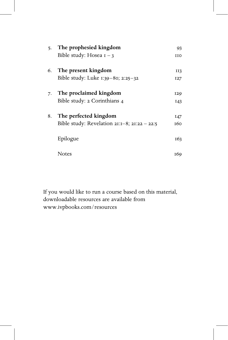| 5. | The prophesied kingdom                       | 93              |
|----|----------------------------------------------|-----------------|
|    | Bible study: Hosea $1 - 3$                   | II0             |
| 6. | The present kingdom                          | II <sub>3</sub> |
|    | Bible study: Luke 1:39-80; 2:25-32           | I <sub>27</sub> |
| 7. | The proclaimed kingdom                       | <b>I29</b>      |
|    | Bible study: 2 Corinthians 4                 | 143             |
| 8. | The perfected kingdom                        | I47             |
|    | Bible study: Revelation 21:1-8; 21:22 - 22:5 | 160             |
|    | Epilogue                                     | 163             |
|    | Notes                                        | 169             |

If you would like to run a course based on this material, downloadable resources are available from www.ivpbooks.com/resources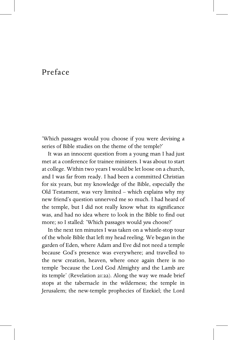### Preface

'Which passages would you choose if you were devising a series of Bible studies on the theme of the temple?'

It was an innocent question from a young man I had just met at a conference for trainee ministers. I was about to start at college. Within two years I would be let loose on a church, and I was far from ready. I had been a committed Christian for six years, but my knowledge of the Bible, especially the Old Testament, was very limited – which explains why my new friend's question unnerved me so much. I had heard of the temple, but I did not really know what its significance was, and had no idea where to look in the Bible to find out more; so I stalled: 'Which passages would you choose?'

In the next ten minutes I was taken on a whistle-stop tour of the whole Bible that left my head reeling. We began in the garden of Eden, where Adam and Eve did not need a temple because God's presence was everywhere; and travelled to the new creation, heaven, where once again there is no temple 'because the Lord God Almighty and the Lamb are its temple' (Revelation 21:22). Along the way we made brief stops at the tabernacle in the wilderness; the temple in Jerusalem; the new-temple prophecies of Ezekiel; the Lord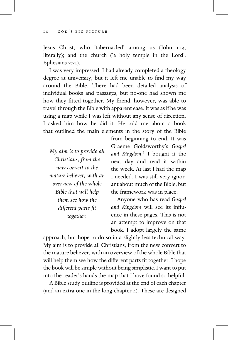Jesus Christ, who 'tabernacled' among us (John 1:14, literally); and the church ('a holy temple in the Lord', Ephesians 2:21).

I was very impressed. I had already completed a theology degree at university, but it left me unable to find my way around the Bible. There had been detailed analysis of individual books and passages, but no-one had shown me how they fitted together. My friend, however, was able to travel through the Bible with apparent ease. It was as if he was using a map while I was left without any sense of direction. I asked him how he did it. He told me about a book that outlined the main elements in the story of the Bible

My aim is to provide all Christians, from the new convert to the mature believer, with an overview of the whole Bible that will help them see how the different parts fit together.

from beginning to end. It was Graeme Goldsworthy's Gospel and Kingdom.<sup>1</sup> I bought it the next day and read it within the week. At last I had the map I needed. I was still very ignorant about much of the Bible, but the framework was in place.

Anyone who has read Gospel and Kingdom will see its influence in these pages. This is not an attempt to improve on that book. I adopt largely the same

approach, but hope to do so in a slightly less technical way. My aim is to provide all Christians, from the new convert to the mature believer, with an overview of the whole Bible that will help them see how the different parts fit together. I hope the book will be simple without being simplistic. I want to put into the reader's hands the map that I have found so helpful.

A Bible study outline is provided at the end of each chapter (and an extra one in the long chapter 4). These are designed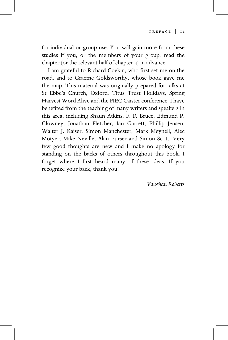for individual or group use. You will gain more from these studies if you, or the members of your group, read the chapter (or the relevant half of chapter 4) in advance.

I am grateful to Richard Coekin, who first set me on the road, and to Graeme Goldsworthy, whose book gave me the map. This material was originally prepared for talks at St Ebbe's Church, Oxford, Titus Trust Holidays, Spring Harvest Word Alive and the FIEC Caister conference. I have benefited from the teaching of many writers and speakers in this area, including Shaun Atkins, F. F. Bruce, Edmund P. Clowney, Jonathan Fletcher, Ian Garrett, Phillip Jensen, Walter J. Kaiser, Simon Manchester, Mark Meynell, Alec Motyer, Mike Neville, Alan Purser and Simon Scott. Very few good thoughts are new and I make no apology for standing on the backs of others throughout this book. I forget where I first heard many of these ideas. If you recognize your back, thank you!

Vaughan Roberts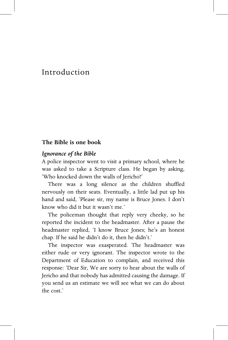## Introduction

#### The Bible is one book

#### Ignorance of the Bible

A police inspector went to visit a primary school, where he was asked to take a Scripture class. He began by asking, 'Who knocked down the walls of Jericho?'

There was a long silence as the children shuffled nervously on their seats. Eventually, a little lad put up his hand and said, 'Please sir, my name is Bruce Jones. I don't know who did it but it wasn't me.'

The policeman thought that reply very cheeky, so he reported the incident to the headmaster. After a pause the headmaster replied, 'I know Bruce Jones; he's an honest chap. If he said he didn't do it, then he didn't.'

The inspector was exasperated. The headmaster was either rude or very ignorant. The inspector wrote to the Department of Education to complain, and received this response: 'Dear Sir, We are sorry to hear about the walls of Jericho and that nobody has admitted causing the damage. If you send us an estimate we will see what we can do about the cost.'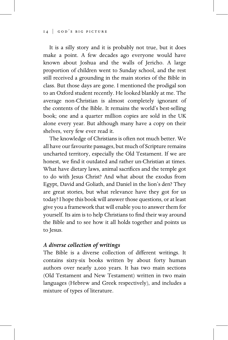It is a silly story and it is probably not true, but it does make a point. A few decades ago everyone would have known about Joshua and the walls of Jericho. A large proportion of children went to Sunday school, and the rest still received a grounding in the main stories of the Bible in class. But those days are gone. I mentioned the prodigal son to an Oxford student recently. He looked blankly at me. The average non-Christian is almost completely ignorant of the contents of the Bible. It remains the world's best-selling book; one and a quarter million copies are sold in the UK alone every year. But although many have a copy on their shelves, very few ever read it.

The knowledge of Christians is often not much better. We all have our favourite passages, but much of Scripture remains uncharted territory, especially the Old Testament. If we are honest, we find it outdated and rather un-Christian at times. What have dietary laws, animal sacrifices and the temple got to do with Jesus Christ? And what about the exodus from Egypt, David and Goliath, and Daniel in the lion's den? They are great stories, but what relevance have they got for us today? I hope this book will answer those questions, or at least give you a framework that will enable you to answer them for yourself. Its aim is to help Christians to find their way around the Bible and to see how it all holds together and points us to Jesus.

#### A diverse collection of writings

The Bible is a diverse collection of different writings. It contains sixty-six books written by about forty human authors over nearly 2,000 years. It has two main sections (Old Testament and New Testament) written in two main languages (Hebrew and Greek respectively), and includes a mixture of types of literature.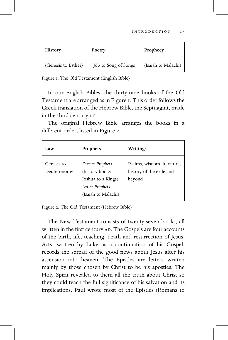| <b>History</b>      | Poetry                 | Prophecy            |
|---------------------|------------------------|---------------------|
| (Genesis to Esther) | (Job to Song of Songs) | (Isaiah to Malachi) |

Figure 1. The Old Testament (English Bible)

In our English Bibles, the thirty-nine books of the Old Testament are arranged as in Figure 1. This order follows the Greek translation of the Hebrew Bible, the Septuagint, made in the third century bc.

The original Hebrew Bible arranges the books in a different order, listed in Figure 2.

| Law                       | Prophets                                                                                          | Writings                                                         |
|---------------------------|---------------------------------------------------------------------------------------------------|------------------------------------------------------------------|
| Genesis to<br>Deuteronomy | Former Prophets<br>(history books<br>Joshua to 2 Kings)<br>Latter Prophets<br>(Isaiah to Malachi) | Psalms, wisdom literature,<br>history of the exile and<br>beyond |

Figure 2. The Old Testament (Hebrew Bible)

The New Testament consists of twenty-seven books, all written in the first century AD. The Gospels are four accounts of the birth, life, teaching, death and resurrection of Jesus. Acts, written by Luke as a continuation of his Gospel, records the spread of the good news about Jesus after his ascension into heaven. The Epistles are letters written mainly by those chosen by Christ to be his apostles. The Holy Spirit revealed to them all the truth about Christ so they could teach the full significance of his salvation and its implications. Paul wrote most of the Epistles (Romans to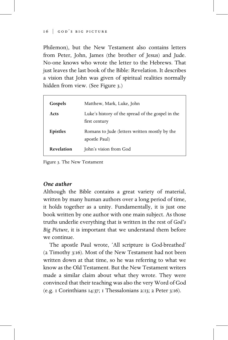Philemon), but the New Testament also contains letters from Peter, John, James (the brother of Jesus) and Jude. No-one knows who wrote the letter to the Hebrews. That just leaves the last book of the Bible: Revelation. It describes a vision that John was given of spiritual realities normally hidden from view. (See Figure 3.)

| Gospels         | Matthew, Mark, Luke, John                                          |
|-----------------|--------------------------------------------------------------------|
| Acts            | Luke's history of the spread of the gospel in the<br>first century |
| <b>Epistles</b> | Romans to Jude (letters written mostly by the<br>apostle Paul)     |
| Revelation      | John's vision from God                                             |

Figure 3. The New Testament

#### One author

Although the Bible contains a great variety of material, written by many human authors over a long period of time, it holds together as a unity. Fundamentally, it is just one book written by one author with one main subject. As those truths underlie everything that is written in the rest of God's Big Picture, it is important that we understand them before we continue.

The apostle Paul wrote, 'All scripture is God-breathed' (2 Timothy 3:16). Most of the New Testament had not been written down at that time, so he was referring to what we know as the Old Testament. But the New Testament writers made a similar claim about what they wrote. They were convinced that their teaching was also the very Word of God (e.g. 1 Corinthians 14:37; 1 Thessalonians 2:13; 2 Peter 3:16).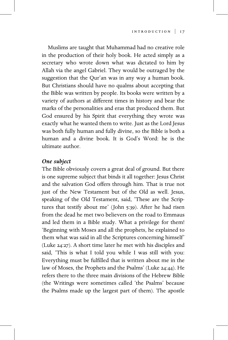Muslims are taught that Muhammad had no creative role in the production of their holy book. He acted simply as a secretary who wrote down what was dictated to him by Allah via the angel Gabriel. They would be outraged by the suggestion that the Qur'an was in any way a human book. But Christians should have no qualms about accepting that the Bible was written by people. Its books were written by a variety of authors at different times in history and bear the marks of the personalities and eras that produced them. But God ensured by his Spirit that everything they wrote was exactly what he wanted them to write. Just as the Lord Jesus was both fully human and fully divine, so the Bible is both a human and a divine book. It is God's Word: he is the ultimate author.

#### One subject

The Bible obviously covers a great deal of ground. But there is one supreme subject that binds it all together: Jesus Christ and the salvation God offers through him. That is true not just of the New Testament but of the Old as well. Jesus, speaking of the Old Testament, said, 'These are the Scriptures that testify about me' (John 5:39). After he had risen from the dead he met two believers on the road to Emmaus and led them in a Bible study. What a privilege for them! 'Beginning with Moses and all the prophets, he explained to them what was said in all the Scriptures concerning himself' (Luke 24:27). A short time later he met with his disciples and said, 'This is what I told you while I was still with you: Everything must be fulfilled that is written about me in the law of Moses, the Prophets and the Psalms' (Luke 24:44). He refers there to the three main divisions of the Hebrew Bible (the Writings were sometimes called 'the Psalms' because the Psalms made up the largest part of them). The apostle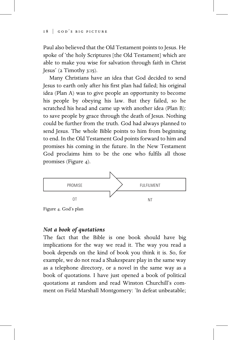Paul also believed that the Old Testament points to Jesus. He spoke of 'the holy Scriptures [the Old Testament] which are able to make you wise for salvation through faith in Christ Jesus' (2 Timothy 3:15).

Many Christians have an idea that God decided to send Jesus to earth only after his first plan had failed; his original idea (Plan A) was to give people an opportunity to become his people by obeying his law. But they failed, so he scratched his head and came up with another idea (Plan B): to save people by grace through the death of Jesus. Nothing could be further from the truth. God had always planned to send Jesus. The whole Bible points to him from beginning to end. In the Old Testament God points forward to him and promises his coming in the future. In the New Testament God proclaims him to be the one who fulfils all those promises (Figure 4).



Figure 4. God's plan

#### Not a book of quotations

The fact that the Bible is one book should have big implications for the way we read it. The way you read a book depends on the kind of book you think it is. So, for example, we do not read a Shakespeare play in the same way as a telephone directory, or a novel in the same way as a book of quotations. I have just opened a book of political quotations at random and read Winston Churchill's comment on Field Marshall Montgomery: 'In defeat unbeatable;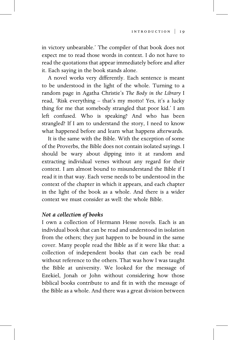in victory unbearable.' The compiler of that book does not expect me to read those words in context. I do not have to read the quotations that appear immediately before and after it. Each saying in the book stands alone.

A novel works very differently. Each sentence is meant to be understood in the light of the whole. Turning to a random page in Agatha Christie's The Body in the Library I read, 'Risk everything – that's my motto! Yes, it's a lucky thing for me that somebody strangled that poor kid.' I am left confused. Who is speaking? And who has been strangled? If I am to understand the story, I need to know what happened before and learn what happens afterwards.

It is the same with the Bible. With the exception of some of the Proverbs, the Bible does not contain isolated sayings. I should be wary about dipping into it at random and extracting individual verses without any regard for their context. I am almost bound to misunderstand the Bible if I read it in that way. Each verse needs to be understood in the context of the chapter in which it appears, and each chapter in the light of the book as a whole. And there is a wider context we must consider as well: the whole Bible.

#### Not a collection of books

I own a collection of Hermann Hesse novels. Each is an individual book that can be read and understood in isolation from the others; they just happen to be bound in the same cover. Many people read the Bible as if it were like that: a collection of independent books that can each be read without reference to the others. That was how I was taught the Bible at university. We looked for the message of Ezekiel, Jonah or John without considering how those biblical books contribute to and fit in with the message of the Bible as a whole. And there was a great division between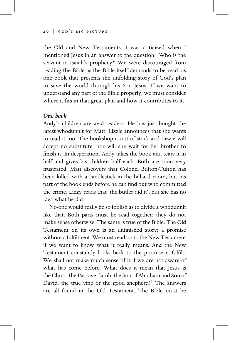the Old and New Testaments. I was criticized when I mentioned Jesus in an answer to the question, 'Who is the servant in Isaiah's prophecy?' We were discouraged from reading the Bible as the Bible itself demands to be read: as one book that presents the unfolding story of God's plan to save the world through his Son Jesus. If we want to understand any part of the Bible properly, we must consider where it fits in that great plan and how it contributes to it.

#### One book

Andy's children are avid readers. He has just bought the latest whodunnit for Matt. Lizzie announces that she wants to read it too. The bookshop is out of stock and Lizzie will accept no substitute, nor will she wait for her brother to finish it. In desperation, Andy takes the book and tears it in half and gives his children half each. Both are soon very frustrated. Matt discovers that Colonel Bufton-Tufton has been killed with a candlestick in the billiard room, but his part of the book ends before he can find out who committed the crime. Lizzy reads that 'the butler did it', but she has no idea what he did.

No-one would really be so foolish as to divide a whodunnit like that. Both parts must be read together; they do not make sense otherwise. The same is true of the Bible. The Old Testament on its own is an unfinished story; a promise without a fulfilment. We must read on to the New Testament if we want to know what it really means. And the New Testament constantly looks back to the promise it fulfils. We shall not make much sense of it if we are not aware of what has come before. What does it mean that Jesus is the Christ, the Passover lamb, the Son of Abraham and Son of David, the true vine or the good shepherd?<sup>1</sup> The answers are all found in the Old Testament. The Bible must be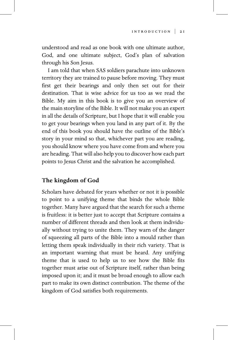understood and read as one book with one ultimate author, God, and one ultimate subject, God's plan of salvation through his Son Jesus.

I am told that when SAS soldiers parachute into unknown territory they are trained to pause before moving. They must first get their bearings and only then set out for their destination. That is wise advice for us too as we read the Bible. My aim in this book is to give you an overview of the main storyline of the Bible. It will not make you an expert in all the details of Scripture, but I hope that it will enable you to get your bearings when you land in any part of it. By the end of this book you should have the outline of the Bible's story in your mind so that, whichever part you are reading, you should know where you have come from and where you are heading. That will also help you to discover how each part points to Jesus Christ and the salvation he accomplished.

#### The kingdom of God

Scholars have debated for years whether or not it is possible to point to a unifying theme that binds the whole Bible together. Many have argued that the search for such a theme is fruitless: it is better just to accept that Scripture contains a number of different threads and then look at them individually without trying to unite them. They warn of the danger of squeezing all parts of the Bible into a mould rather than letting them speak individually in their rich variety. That is an important warning that must be heard. Any unifying theme that is used to help us to see how the Bible fits together must arise out of Scripture itself, rather than being imposed upon it; and it must be broad enough to allow each part to make its own distinct contribution. The theme of the kingdom of God satisfies both requirements.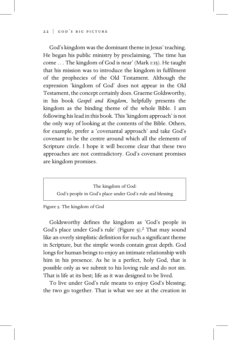God's kingdom was the dominant theme in Jesus' teaching. He began his public ministry by proclaiming, 'The time has come . . . The kingdom of God is near' (Mark 1:15). He taught that his mission was to introduce the kingdom in fulfilment of the prophecies of the Old Testament. Although the expression 'kingdom of God' does not appear in the Old Testament, the concept certainly does. Graeme Goldsworthy, in his book Gospel and Kingdom, helpfully presents the kingdom as the binding theme of the whole Bible. I am following his lead in this book. This 'kingdom approach' is not the only way of looking at the contents of the Bible. Others, for example, prefer a 'covenantal approach' and take God's covenant to be the centre around which all the elements of Scripture circle. I hope it will become clear that these two approaches are not contradictory. God's covenant promises are kingdom promises.

The kingdom of God: God's people in God's place under God's rule and blessing

Figure 5. The kingdom of God

Goldsworthy defines the kingdom as 'God's people in God's place under God's rule' (Figure 5).<sup>2</sup> That may sound like an overly simplistic definition for such a significant theme in Scripture, but the simple words contain great depth. God longs for human beings to enjoy an intimate relationship with him in his presence. As he is a perfect, holy God, that is possible only as we submit to his loving rule and do not sin. That is life at its best; life as it was designed to be lived.

To live under God's rule means to enjoy God's blessing; the two go together. That is what we see at the creation in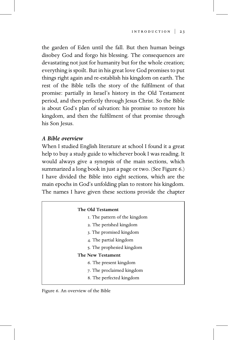the garden of Eden until the fall. But then human beings disobey God and forgo his blessing. The consequences are devastating not just for humanity but for the whole creation; everything is spoilt. But in his great love God promises to put things right again and re-establish his kingdom on earth. The rest of the Bible tells the story of the fulfilment of that promise: partially in Israel's history in the Old Testament period, and then perfectly through Jesus Christ. So the Bible is about God's plan of salvation: his promise to restore his kingdom, and then the fulfilment of that promise through his Son Jesus.

#### A Bible overview

When I studied English literature at school I found it a great help to buy a study guide to whichever book I was reading. It would always give a synopsis of the main sections, which summarized a long book in just a page or two. (See Figure 6.) I have divided the Bible into eight sections, which are the main epochs in God's unfolding plan to restore his kingdom. The names I have given these sections provide the chapter

#### The Old Testament

- 1. The pattern of the kingdom
- 2. The perished kingdom
- 3. The promised kingdom
- 4. The partial kingdom
- 5. The prophesied kingdom

#### The New Testament

- 6. The present kingdom
- 7. The proclaimed kingdom
- 8. The perfected kingdom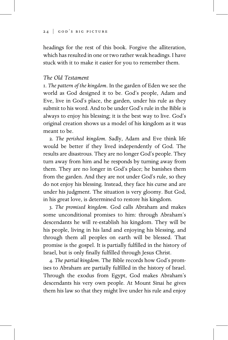headings for the rest of this book. Forgive the alliteration, which has resulted in one or two rather weak headings. I have stuck with it to make it easier for you to remember them.

#### The Old Testament

1. The pattern of the kingdom. In the garden of Eden we see the world as God designed it to be. God's people, Adam and Eve, live in God's place, the garden, under his rule as they submit to his word. And to be under God's rule in the Bible is always to enjoy his blessing; it is the best way to live. God's original creation shows us a model of his kingdom as it was meant to be.

2. The perished kingdom. Sadly, Adam and Eve think life would be better if they lived independently of God. The results are disastrous. They are no longer God's people. They turn away from him and he responds by turning away from them. They are no longer in God's place; he banishes them from the garden. And they are not under God's rule, so they do not enjoy his blessing. Instead, they face his curse and are under his judgment. The situation is very gloomy. But God, in his great love, is determined to restore his kingdom.

3. The promised kingdom. God calls Abraham and makes some unconditional promises to him: through Abraham's descendants he will re-establish his kingdom. They will be his people, living in his land and enjoying his blessing, and through them all peoples on earth will be blessed. That promise is the gospel. It is partially fulfilled in the history of Israel, but is only finally fulfilled through Jesus Christ.

4. The partial kingdom. The Bible records how God's promises to Abraham are partially fulfilled in the history of Israel. Through the exodus from Egypt, God makes Abraham's descendants his very own people. At Mount Sinai he gives them his law so that they might live under his rule and enjoy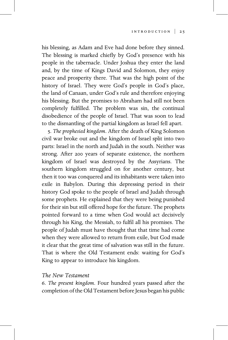his blessing, as Adam and Eve had done before they sinned. The blessing is marked chiefly by God's presence with his people in the tabernacle. Under Joshua they enter the land and, by the time of Kings David and Solomon, they enjoy peace and prosperity there. That was the high point of the history of Israel. They were God's people in God's place, the land of Canaan, under God's rule and therefore enjoying his blessing. But the promises to Abraham had still not been completely fulfilled. The problem was sin, the continual disobedience of the people of Israel. That was soon to lead to the dismantling of the partial kingdom as Israel fell apart.

5. The prophesied kingdom. After the death of King Solomon civil war broke out and the kingdom of Israel split into two parts: Israel in the north and Judah in the south. Neither was strong. After 200 years of separate existence, the northern kingdom of Israel was destroyed by the Assyrians. The southern kingdom struggled on for another century, but then it too was conquered and its inhabitants were taken into exile in Babylon. During this depressing period in their history God spoke to the people of Israel and Judah through some prophets. He explained that they were being punished for their sin but still offered hope for the future. The prophets pointed forward to a time when God would act decisively through his King, the Messiah, to fulfil all his promises. The people of Judah must have thought that that time had come when they were allowed to return from exile, but God made it clear that the great time of salvation was still in the future. That is where the Old Testament ends: waiting for God's King to appear to introduce his kingdom.

#### The New Testament

6. The present kingdom. Four hundred years passed after the completion of the Old Testament before Jesus began his public